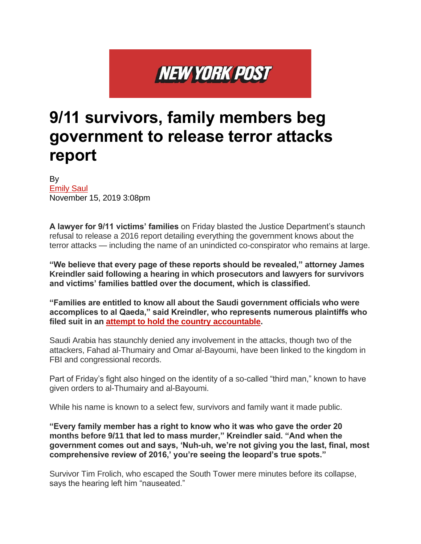## **NEW YORK POST**

## **9/11 survivors, family members beg government to release terror attacks report**

By [Emily](https://nypost.com/2019/11/15/9-11-survivors-family-members-beg-government-to-release-terror-attacks-report/) Saul November 15, 2019 3:08pm

**A lawyer for 9/11 victims' families** on Friday blasted the Justice Department's staunch refusal to release a 2016 report detailing everything the government knows about the terror attacks — including the name of an unindicted co-conspirator who remains at large.

**"We believe that every page of these reports should be revealed," attorney James Kreindler said following a hearing in which prosecutors and lawyers for survivors and victims' families battled over the document, which is classified.**

**"Families are entitled to know all about the Saudi government officials who were accomplices to al Qaeda," said Kreindler, who represents numerous plaintiffs who filed suit in an attempt to hold the country [accountable.](https://nypost.com/2017/03/20/families-of-911-victims-file-suit-against-saudi-arabia/)**

Saudi Arabia has staunchly denied any involvement in the attacks, though two of the attackers, Fahad al-Thumairy and Omar al-Bayoumi, have been linked to the kingdom in FBI and congressional records.

Part of Friday's fight also hinged on the identity of a so-called "third man," known to have given orders to al-Thumairy and al-Bayoumi.

While his name is known to a select few, survivors and family want it made public.

**"Every family member has a right to know who it was who gave the order 20 months before 9/11 that led to mass murder," Kreindler said. "And when the government comes out and says, 'Nuh-uh, we're not giving you the last, final, most comprehensive review of 2016,' you're seeing the leopard's true spots."**

Survivor Tim Frolich, who escaped the South Tower mere minutes before its collapse, says the hearing left him "nauseated."